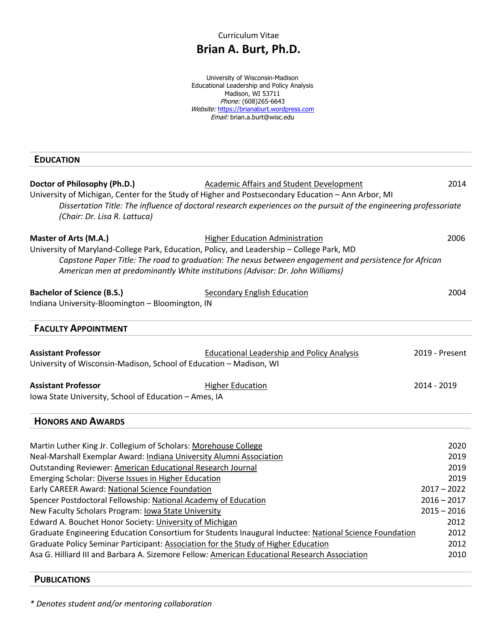Curriculum Vitae

## **Brian A. Burt, Ph.D.**

University of Wisconsin-Madison Educational Leadership and Policy Analysis Madison, WI 53711 Phone: (608)265-6643 Website: https://brianaburt.wordpress.com *Email:* brian.a.burt@wisc.edu

#### **EDUCATION**

| Doctor of Philosophy (Ph.D.)<br>(Chair: Dr. Lisa R. Lattuca)                                                                                                                                        | Academic Affairs and Student Development<br>University of Michigan, Center for the Study of Higher and Postsecondary Education - Ann Arbor, MI<br>Dissertation Title: The influence of doctoral research experiences on the pursuit of the engineering professoriate | 2014           |  |
|-----------------------------------------------------------------------------------------------------------------------------------------------------------------------------------------------------|----------------------------------------------------------------------------------------------------------------------------------------------------------------------------------------------------------------------------------------------------------------------|----------------|--|
| Master of Arts (M.A.)<br>University of Maryland-College Park, Education, Policy, and Leadership - College Park, MD<br>American men at predominantly White institutions (Advisor: Dr. John Williams) | <b>Higher Education Administration</b><br>Capstone Paper Title: The road to graduation: The nexus between engagement and persistence for African                                                                                                                     | 2006           |  |
| <b>Bachelor of Science (B.S.)</b><br>Indiana University-Bloomington - Bloomington, IN                                                                                                               | Secondary English Education                                                                                                                                                                                                                                          | 2004           |  |
| <b>FACULTY APPOINTMENT</b>                                                                                                                                                                          |                                                                                                                                                                                                                                                                      |                |  |
| <b>Assistant Professor</b><br>University of Wisconsin-Madison, School of Education - Madison, WI                                                                                                    | <b>Educational Leadership and Policy Analysis</b>                                                                                                                                                                                                                    | 2019 - Present |  |
| <b>Assistant Professor</b><br>Iowa State University, School of Education - Ames, IA                                                                                                                 | <b>Higher Education</b>                                                                                                                                                                                                                                              | 2014 - 2019    |  |
| <b>HONORS AND AWARDS</b>                                                                                                                                                                            |                                                                                                                                                                                                                                                                      |                |  |
| Martin Luther King Jr. Collegium of Scholars: Morehouse College                                                                                                                                     |                                                                                                                                                                                                                                                                      | 2020           |  |
| Neal-Marshall Exemplar Award: Indiana University Alumni Association                                                                                                                                 |                                                                                                                                                                                                                                                                      | 2019           |  |
| <b>Outstanding Reviewer: American Educational Research Journal</b>                                                                                                                                  |                                                                                                                                                                                                                                                                      | 2019           |  |
| Emerging Scholar: Diverse Issues in Higher Education                                                                                                                                                |                                                                                                                                                                                                                                                                      | 2019           |  |
| Early CAREER Award: National Science Foundation                                                                                                                                                     |                                                                                                                                                                                                                                                                      | $2017 - 2022$  |  |
| Spencer Postdoctoral Fellowship: National Academy of Education                                                                                                                                      |                                                                                                                                                                                                                                                                      | $2016 - 2017$  |  |
| New Faculty Scholars Program: lowa State University                                                                                                                                                 |                                                                                                                                                                                                                                                                      | $2015 - 2016$  |  |
| Edward A. Bouchet Honor Society: University of Michigan                                                                                                                                             |                                                                                                                                                                                                                                                                      | 2012           |  |
|                                                                                                                                                                                                     | Graduate Engineering Education Consortium for Students Inaugural Inductee: National Science Foundation                                                                                                                                                               | 2012           |  |
|                                                                                                                                                                                                     | Graduate Policy Seminar Participant: Association for the Study of Higher Education<br>2012                                                                                                                                                                           |                |  |
| 2010<br>Asa G. Hilliard III and Barbara A. Sizemore Fellow: American Educational Research Association                                                                                               |                                                                                                                                                                                                                                                                      |                |  |

#### **PUBLICATIONS**

*\* Denotes student and/or mentoring collaboration*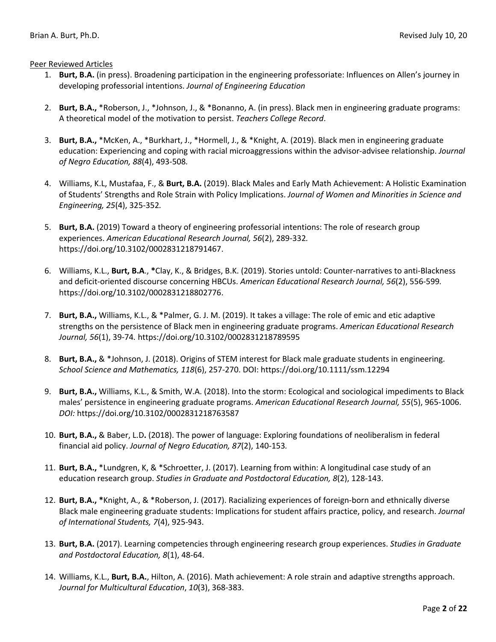Peer Reviewed Articles

- 1. **Burt, B.A.** (in press). Broadening participation in the engineering professoriate: Influences on Allen's journey in developing professorial intentions. *Journal of Engineering Education*
- 2. **Burt, B.A.,** \*Roberson, J., \*Johnson, J., & \*Bonanno, A. (in press). Black men in engineering graduate programs: A theoretical model of the motivation to persist. *Teachers College Record*.
- 3. **Burt, B.A.,** \*McKen, A., \*Burkhart, J., \*Hormell, J., & \*Knight, A. (2019). Black men in engineering graduate education: Experiencing and coping with racial microaggressions within the advisor-advisee relationship. *Journal of Negro Education, 88*(4), 493-508*.*
- 4. Williams, K.L, Mustafaa, F., & **Burt, B.A.** (2019). Black Males and Early Math Achievement: A Holistic Examination of Students' Strengths and Role Strain with Policy Implications. *Journal of Women and Minorities in Science and Engineering, 25*(4), 325-352*.*
- 5. **Burt, B.A.** (2019) Toward a theory of engineering professorial intentions: The role of research group experiences. *American Educational Research Journal, 56*(2), 289-332*.*  https://doi.org/10.3102/0002831218791467.
- 6. Williams, K.L., **Burt, B.A**., **\***Clay, K., & Bridges, B.K. (2019). Stories untold: Counter-narratives to anti-Blackness and deficit-oriented discourse concerning HBCUs. *American Educational Research Journal, 56*(2), 556-599*.* https://doi.org/10.3102/0002831218802776.
- 7. **Burt, B.A.,** Williams, K.L., & \*Palmer, G. J. M. (2019). It takes a village: The role of emic and etic adaptive strengths on the persistence of Black men in engineering graduate programs. *American Educational Research Journal, 56*(1), 39-74*.* https://doi.org/10.3102/0002831218789595
- 8. **Burt, B.A.,** & \*Johnson, J. (2018). Origins of STEM interest for Black male graduate students in engineering. *School Science and Mathematics, 118*(6), 257-270. DOI: https://doi.org/10.1111/ssm.12294
- 9. **Burt, B.A.,** Williams, K.L., & Smith, W.A. (2018). Into the storm: Ecological and sociological impediments to Black males' persistence in engineering graduate programs. *American Educational Research Journal, 55*(5), 965-1006. *DOI:* https://doi.org/10.3102/0002831218763587
- 10. **Burt, B.A.,** & Baber, L.D**.** (2018). The power of language: Exploring foundations of neoliberalism in federal financial aid policy. *Journal of Negro Education, 87*(2), 140-153*.*
- 11. **Burt, B.A.,** \*Lundgren, K, & \*Schroetter, J. (2017). Learning from within: A longitudinal case study of an education research group. *Studies in Graduate and Postdoctoral Education, 8*(2), 128-143.
- 12. **Burt, B.A., \***Knight, A., & \*Roberson, J. (2017). Racializing experiences of foreign-born and ethnically diverse Black male engineering graduate students: Implications for student affairs practice, policy, and research. *Journal of International Students, 7*(4), 925-943.
- 13. **Burt, B.A.** (2017). Learning competencies through engineering research group experiences. *Studies in Graduate and Postdoctoral Education, 8*(1), 48-64.
- 14. Williams, K.L., **Burt, B.A.**, Hilton, A. (2016). Math achievement: A role strain and adaptive strengths approach. *Journal for Multicultural Education*, *10*(3), 368-383.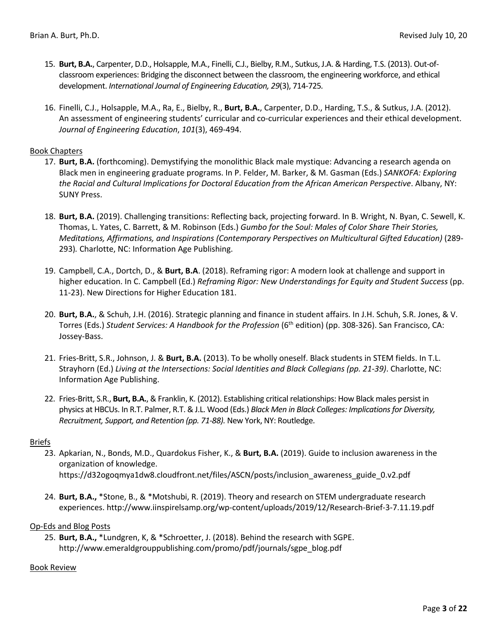- 15. **Burt, B.A.**, Carpenter, D.D., Holsapple, M.A., Finelli, C.J., Bielby, R.M., Sutkus, J.A. & Harding, T.S. (2013). Out-ofclassroom experiences: Bridging the disconnect between the classroom, the engineering workforce, and ethical development. *International Journal of Engineering Education, 29*(3), 714-725*.*
- 16. Finelli, C.J., Holsapple, M.A., Ra, E., Bielby, R., **Burt, B.A.**, Carpenter, D.D., Harding, T.S., & Sutkus, J.A. (2012). An assessment of engineering students' curricular and co-curricular experiences and their ethical development. *Journal of Engineering Education*, *101*(3), 469-494.

#### Book Chapters

- 17. **Burt, B.A.** (forthcoming). Demystifying the monolithic Black male mystique: Advancing a research agenda on Black men in engineering graduate programs. In P. Felder, M. Barker, & M. Gasman (Eds.) *SANKOFA: Exploring the Racial and Cultural Implications for Doctoral Education from the African American Perspective*. Albany, NY: SUNY Press.
- 18. **Burt, B.A.** (2019). Challenging transitions: Reflecting back, projecting forward. In B. Wright, N. Byan, C. Sewell, K. Thomas, L. Yates, C. Barrett, & M. Robinson (Eds.) *Gumbo for the Soul: Males of Color Share Their Stories, Meditations, Affirmations, and Inspirations (Contemporary Perspectives on Multicultural Gifted Education)* (289- 293)*.* Charlotte, NC: Information Age Publishing.
- 19. Campbell, C.A., Dortch, D., & **Burt, B.A**. (2018). Reframing rigor: A modern look at challenge and support in higher education. In C. Campbell (Ed.) *Reframing Rigor: New Understandings for Equity and Student Success* (pp. 11-23). New Directions for Higher Education 181.
- 20. **Burt, B.A.**, & Schuh, J.H. (2016). Strategic planning and finance in student affairs. In J.H. Schuh, S.R. Jones, & V. Torres (Eds.) Student Services: A Handbook for the Profession (6<sup>th</sup> edition) (pp. 308-326). San Francisco, CA: Jossey-Bass.
- 21. Fries-Britt, S.R., Johnson, J. & **Burt, B.A.** (2013). To be wholly oneself. Black students in STEM fields. In T.L. Strayhorn (Ed.) *Living at the Intersections: Social Identities and Black Collegians (pp. 21-39)*. Charlotte, NC: Information Age Publishing.
- 22. Fries-Britt, S.R., **Burt, B.A.**, & Franklin, K. (2012). Establishing critical relationships: How Black males persist in physics at HBCUs. In R.T. Palmer, R.T. & J.L. Wood (Eds.) *Black Men in Black Colleges: Implications for Diversity, Recruitment, Support, and Retention (pp. 71-88).* New York, NY: Routledge.

#### Briefs

- 23. Apkarian, N., Bonds, M.D., Quardokus Fisher, K., & **Burt, B.A.** (2019). Guide to inclusion awareness in the organization of knowledge. https://d32ogoqmya1dw8.cloudfront.net/files/ASCN/posts/inclusion\_awareness\_guide\_0.v2.pdf
- 24. **Burt, B.A.,** \*Stone, B., & \*Motshubi, R. (2019). Theory and research on STEM undergraduate research experiences. http://www.iinspirelsamp.org/wp-content/uploads/2019/12/Research-Brief-3-7.11.19.pdf

#### Op-Eds and Blog Posts

25. **Burt, B.A.,** \*Lundgren, K, & \*Schroetter, J. (2018). Behind the research with SGPE. http://www.emeraldgrouppublishing.com/promo/pdf/journals/sgpe\_blog.pdf

#### Book Review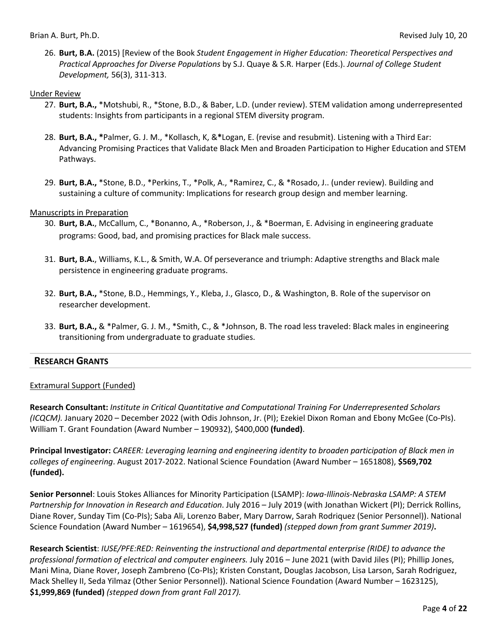26. **Burt, B.A.** (2015) [Review of the Book *Student Engagement in Higher Education: Theoretical Perspectives and Practical Approaches for Diverse Populations* by S.J. Quaye & S.R. Harper (Eds.). *Journal of College Student Development,* 56(3), 311-313.

#### Under Review

- 27. **Burt, B.A.,** \*Motshubi, R., \*Stone, B.D., & Baber, L.D. (under review). STEM validation among underrepresented students: Insights from participants in a regional STEM diversity program.
- 28. **Burt, B.A., \***Palmer, G. J. M., \*Kollasch, K, &**\***Logan, E. (revise and resubmit). Listening with a Third Ear: Advancing Promising Practices that Validate Black Men and Broaden Participation to Higher Education and STEM Pathways.
- 29. **Burt, B.A.,** \*Stone, B.D., \*Perkins, T., \*Polk, A., \*Ramirez, C., & \*Rosado, J.. (under review). Building and sustaining a culture of community: Implications for research group design and member learning.

#### Manuscripts in Preparation

- 30. **Burt, B.A.**, McCallum, C., \*Bonanno, A., \*Roberson, J., & \*Boerman, E. Advising in engineering graduate programs: Good, bad, and promising practices for Black male success.
- 31. **Burt, B.A.**, Williams, K.L., & Smith, W.A. Of perseverance and triumph: Adaptive strengths and Black male persistence in engineering graduate programs.
- 32. **Burt, B.A.,** \*Stone, B.D., Hemmings, Y., Kleba, J., Glasco, D., & Washington, B. Role of the supervisor on researcher development.
- 33. **Burt, B.A.,** & \*Palmer, G. J. M., \*Smith, C., & \*Johnson, B. The road less traveled: Black males in engineering transitioning from undergraduate to graduate studies.

### **RESEARCH GRANTS**

### Extramural Support (Funded)

**Research Consultant:** *Institute in Critical Quantitative and Computational Training For Underrepresented Scholars (ICQCM).* January 2020 – December 2022 (with Odis Johnson, Jr. (PI); Ezekiel Dixon Roman and Ebony McGee (Co-PIs). William T. Grant Foundation (Award Number – 190932), \$400,000 **(funded)**.

**Principal Investigator:** *CAREER: Leveraging learning and engineering identity to broaden participation of Black men in colleges of engineering*. August 2017-2022. National Science Foundation (Award Number – 1651808), **\$569,702 (funded).**

**Senior Personnel**: Louis Stokes Alliances for Minority Participation (LSAMP): *Iowa-Illinois-Nebraska LSAMP: A STEM Partnership for Innovation in Research and Education*. July 2016 – July 2019 (with Jonathan Wickert (PI); Derrick Rollins, Diane Rover, Sunday Tim (Co-PIs); Saba Ali, Lorenzo Baber, Mary Darrow, Sarah Rodriquez (Senior Personnel)). National Science Foundation (Award Number – 1619654), **\$4,998,527 (funded)** *(stepped down from grant Summer 2019)***.**

**Research Scientist**: *IUSE/PFE:RED: Reinventing the instructional and departmental enterprise (RIDE) to advance the professional formation of electrical and computer engineers.* July 2016 – June 2021 (with David Jiles (PI); Phillip Jones, Mani Mina, Diane Rover, Joseph Zambreno (Co-PIs); Kristen Constant, Douglas Jacobson, Lisa Larson, Sarah Rodriguez, Mack Shelley II, Seda Yilmaz (Other Senior Personnel)). National Science Foundation (Award Number – 1623125), **\$1,999,869 (funded)** *(stepped down from grant Fall 2017).*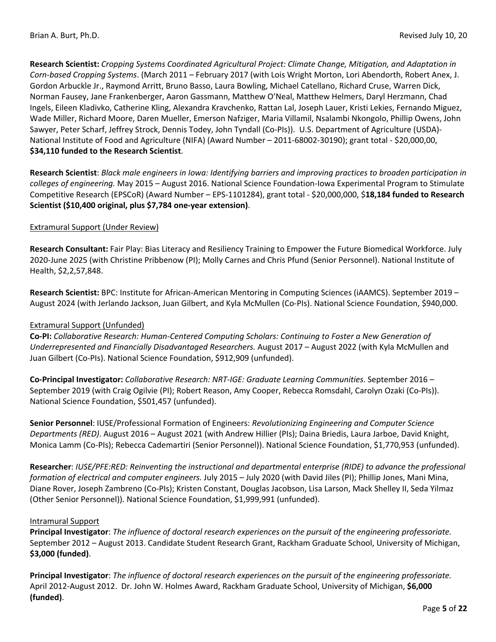**Research Scientist:** *Cropping Systems Coordinated Agricultural Project: Climate Change, Mitigation, and Adaptation in Corn-based Cropping Systems*. (March 2011 – February 2017 (with Lois Wright Morton, Lori Abendorth, Robert Anex, J. Gordon Arbuckle Jr., Raymond Arritt, Bruno Basso, Laura Bowling, Michael Catellano, Richard Cruse, Warren Dick, Norman Fausey, Jane Frankenberger, Aaron Gassmann, Matthew O'Neal, Matthew Helmers, Daryl Herzmann, Chad Ingels, Eileen Kladivko, Catherine Kling, Alexandra Kravchenko, Rattan Lal, Joseph Lauer, Kristi Lekies, Fernando Miguez, Wade Miller, Richard Moore, Daren Mueller, Emerson Nafziger, Maria Villamil, Nsalambi Nkongolo, Phillip Owens, John Sawyer, Peter Scharf, Jeffrey Strock, Dennis Todey, John Tyndall (Co-PIs)). U.S. Department of Agriculture (USDA)- National Institute of Food and Agriculture (NIFA) (Award Number – 2011-68002-30190); grant total - \$20,000,00, **\$34,110 funded to the Research Scientist**.

**Research Scientist**: *Black male engineers in Iowa: Identifying barriers and improving practices to broaden participation in colleges of engineering.* May 2015 – August 2016. National Science Foundation*-*Iowa Experimental Program to Stimulate Competitive Research (EPSCoR) (Award Number – EPS-1101284), grant total - \$20,000,000, \$**18,184 funded to Research Scientist (\$10,400 original, plus \$7,784 one-year extension)**.

#### Extramural Support (Under Review)

**Research Consultant:** Fair Play: Bias Literacy and Resiliency Training to Empower the Future Biomedical Workforce. July 2020-June 2025 (with Christine Pribbenow (PI); Molly Carnes and Chris Pfund (Senior Personnel). National Institute of Health, \$2,2,57,848.

**Research Scientist:** BPC: Institute for African-American Mentoring in Computing Sciences (iAAMCS). September 2019 – August 2024 (with Jerlando Jackson, Juan Gilbert, and Kyla McMullen (Co-PIs). National Science Foundation, \$940,000.

#### Extramural Support (Unfunded)

**Co-PI:** *Collaborative Research: Human-Centered Computing Scholars: Continuing to Foster a New Generation of Underrepresented and Financially Disadvantaged Researchers.* August 2017 – August 2022 (with Kyla McMullen and Juan Gilbert (Co-PIs). National Science Foundation, \$912,909 (unfunded).

**Co-Principal Investigator:** *Collaborative Research: NRT-IGE: Graduate Learning Communities*. September 2016 – September 2019 (with Craig Ogilvie (PI); Robert Reason, Amy Cooper, Rebecca Romsdahl, Carolyn Ozaki (Co-PIs)). National Science Foundation, \$501,457 (unfunded).

**Senior Personnel**: IUSE/Professional Formation of Engineers: *Revolutionizing Engineering and Computer Science Departments (RED)*. August 2016 – August 2021 (with Andrew Hillier (PIs); Daina Briedis, Laura Jarboe, David Knight, Monica Lamm (Co-PIs); Rebecca Cademartiri (Senior Personnel)). National Science Foundation, \$1,770,953 (unfunded).

**Researcher**: *IUSE/PFE:RED: Reinventing the instructional and departmental enterprise (RIDE) to advance the professional formation of electrical and computer engineers.* July 2015 – July 2020 (with David Jiles (PI); Phillip Jones, Mani Mina, Diane Rover, Joseph Zambreno (Co-PIs); Kristen Constant, Douglas Jacobson, Lisa Larson, Mack Shelley II, Seda Yilmaz (Other Senior Personnel)). National Science Foundation, \$1,999,991 (unfunded).

#### Intramural Support

**Principal Investigator**: *The influence of doctoral research experiences on the pursuit of the engineering professoriate.* September 2012 – August 2013. Candidate Student Research Grant, Rackham Graduate School, University of Michigan, **\$3,000 (funded)**.

**Principal Investigator**: *The influence of doctoral research experiences on the pursuit of the engineering professoriate.*  April 2012-August 2012. Dr. John W. Holmes Award, Rackham Graduate School, University of Michigan, **\$6,000 (funded)**.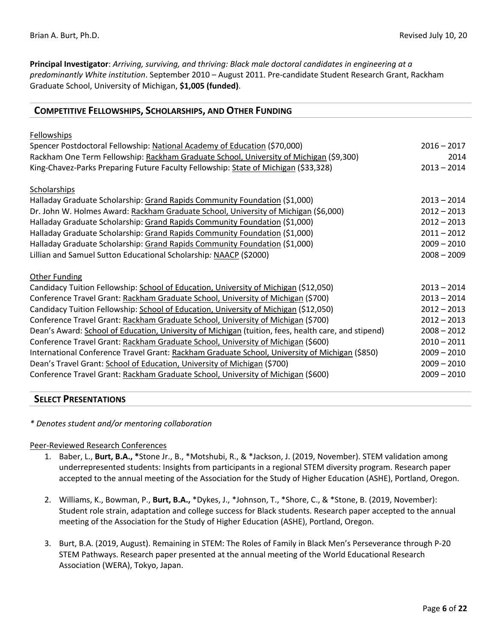**Principal Investigator**: *Arriving, surviving, and thriving: Black male doctoral candidates in engineering at a predominantly White institution*. September 2010 – August 2011. Pre-candidate Student Research Grant, Rackham Graduate School, University of Michigan, **\$1,005 (funded)**.

| <b>Fellowships</b><br>Spencer Postdoctoral Fellowship: National Academy of Education (\$70,000)<br>$2016 - 2017$<br>Rackham One Term Fellowship: Rackham Graduate School, University of Michigan (\$9,300)<br>King-Chavez-Parks Preparing Future Faculty Fellowship: State of Michigan (\$33,328)<br>$2013 - 2014$<br>Scholarships<br>Halladay Graduate Scholarship: Grand Rapids Community Foundation (\$1,000)<br>$2013 - 2014$<br>Dr. John W. Holmes Award: Rackham Graduate School, University of Michigan (\$6,000)<br>$2012 - 2013$<br>Halladay Graduate Scholarship: Grand Rapids Community Foundation (\$1,000)<br>$2012 - 2013$<br>Halladay Graduate Scholarship: Grand Rapids Community Foundation (\$1,000)<br>$2011 - 2012$ | <b>COMPETITIVE FELLOWSHIPS, SCHOLARSHIPS, AND OTHER FUNDING</b> |  |  |
|-----------------------------------------------------------------------------------------------------------------------------------------------------------------------------------------------------------------------------------------------------------------------------------------------------------------------------------------------------------------------------------------------------------------------------------------------------------------------------------------------------------------------------------------------------------------------------------------------------------------------------------------------------------------------------------------------------------------------------------------|-----------------------------------------------------------------|--|--|
|                                                                                                                                                                                                                                                                                                                                                                                                                                                                                                                                                                                                                                                                                                                                         |                                                                 |  |  |
|                                                                                                                                                                                                                                                                                                                                                                                                                                                                                                                                                                                                                                                                                                                                         |                                                                 |  |  |
|                                                                                                                                                                                                                                                                                                                                                                                                                                                                                                                                                                                                                                                                                                                                         | 2014                                                            |  |  |
|                                                                                                                                                                                                                                                                                                                                                                                                                                                                                                                                                                                                                                                                                                                                         |                                                                 |  |  |
|                                                                                                                                                                                                                                                                                                                                                                                                                                                                                                                                                                                                                                                                                                                                         |                                                                 |  |  |
|                                                                                                                                                                                                                                                                                                                                                                                                                                                                                                                                                                                                                                                                                                                                         |                                                                 |  |  |
|                                                                                                                                                                                                                                                                                                                                                                                                                                                                                                                                                                                                                                                                                                                                         |                                                                 |  |  |
|                                                                                                                                                                                                                                                                                                                                                                                                                                                                                                                                                                                                                                                                                                                                         |                                                                 |  |  |
|                                                                                                                                                                                                                                                                                                                                                                                                                                                                                                                                                                                                                                                                                                                                         |                                                                 |  |  |
| Halladay Graduate Scholarship: Grand Rapids Community Foundation (\$1,000)<br>$2009 - 2010$                                                                                                                                                                                                                                                                                                                                                                                                                                                                                                                                                                                                                                             |                                                                 |  |  |
| Lillian and Samuel Sutton Educational Scholarship: NAACP (\$2000)<br>$2008 - 2009$                                                                                                                                                                                                                                                                                                                                                                                                                                                                                                                                                                                                                                                      |                                                                 |  |  |
| <b>Other Funding</b>                                                                                                                                                                                                                                                                                                                                                                                                                                                                                                                                                                                                                                                                                                                    |                                                                 |  |  |
| Candidacy Tuition Fellowship: School of Education, University of Michigan (\$12,050)<br>$2013 - 2014$                                                                                                                                                                                                                                                                                                                                                                                                                                                                                                                                                                                                                                   |                                                                 |  |  |
| Conference Travel Grant: Rackham Graduate School, University of Michigan (\$700)<br>$2013 - 2014$                                                                                                                                                                                                                                                                                                                                                                                                                                                                                                                                                                                                                                       |                                                                 |  |  |
| Candidacy Tuition Fellowship: School of Education, University of Michigan (\$12,050)<br>$2012 - 2013$                                                                                                                                                                                                                                                                                                                                                                                                                                                                                                                                                                                                                                   |                                                                 |  |  |
| Conference Travel Grant: Rackham Graduate School, University of Michigan (\$700)<br>$2012 - 2013$                                                                                                                                                                                                                                                                                                                                                                                                                                                                                                                                                                                                                                       |                                                                 |  |  |
| Dean's Award: School of Education, University of Michigan (tuition, fees, health care, and stipend)<br>$2008 - 2012$                                                                                                                                                                                                                                                                                                                                                                                                                                                                                                                                                                                                                    |                                                                 |  |  |
| Conference Travel Grant: Rackham Graduate School, University of Michigan (\$600)<br>$2010 - 2011$                                                                                                                                                                                                                                                                                                                                                                                                                                                                                                                                                                                                                                       |                                                                 |  |  |
| International Conference Travel Grant: Rackham Graduate School, University of Michigan (\$850)<br>$2009 - 2010$                                                                                                                                                                                                                                                                                                                                                                                                                                                                                                                                                                                                                         |                                                                 |  |  |
| Dean's Travel Grant: School of Education, University of Michigan (\$700)<br>$2009 - 2010$                                                                                                                                                                                                                                                                                                                                                                                                                                                                                                                                                                                                                                               |                                                                 |  |  |
| Conference Travel Grant: Rackham Graduate School, University of Michigan (\$600)<br>$2009 - 2010$                                                                                                                                                                                                                                                                                                                                                                                                                                                                                                                                                                                                                                       |                                                                 |  |  |

#### **SELECT PRESENTATIONS**

#### *\* Denotes student and/or mentoring collaboration*

#### Peer-Reviewed Research Conferences

- 1. Baber, L., **Burt, B.A., \***Stone Jr., B., \*Motshubi, R., & \*Jackson, J. (2019, November). STEM validation among underrepresented students: Insights from participants in a regional STEM diversity program. Research paper accepted to the annual meeting of the Association for the Study of Higher Education (ASHE), Portland, Oregon.
- 2. Williams, K., Bowman, P., **Burt, B.A.,** \*Dykes, J., \*Johnson, T., \*Shore, C., & \*Stone, B. (2019, November): Student role strain, adaptation and college success for Black students. Research paper accepted to the annual meeting of the Association for the Study of Higher Education (ASHE), Portland, Oregon.
- 3. Burt, B.A. (2019, August). Remaining in STEM: The Roles of Family in Black Men's Perseverance through P-20 STEM Pathways. Research paper presented at the annual meeting of the World Educational Research Association (WERA), Tokyo, Japan.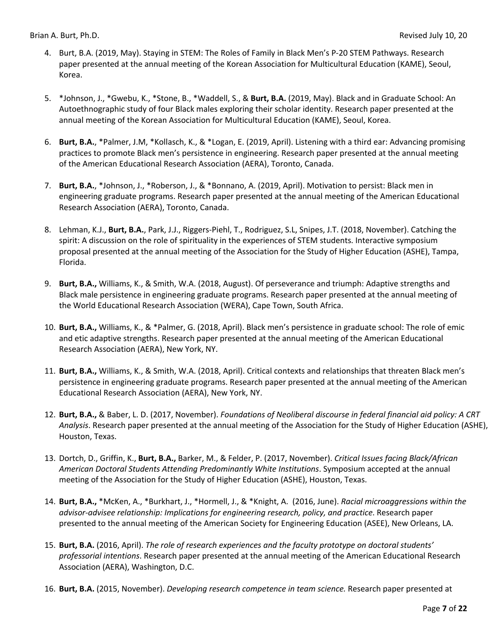- 4. Burt, B.A. (2019, May). Staying in STEM: The Roles of Family in Black Men's P-20 STEM Pathways. Research paper presented at the annual meeting of the Korean Association for Multicultural Education (KAME), Seoul, Korea.
- 5. \*Johnson, J., \*Gwebu, K., \*Stone, B., \*Waddell, S., & **Burt, B.A.** (2019, May). Black and in Graduate School: An Autoethnographic study of four Black males exploring their scholar identity. Research paper presented at the annual meeting of the Korean Association for Multicultural Education (KAME), Seoul, Korea.
- 6. **Burt, B.A.**, \*Palmer, J.M, \*Kollasch, K., & \*Logan, E. (2019, April). Listening with a third ear: Advancing promising practices to promote Black men's persistence in engineering. Research paper presented at the annual meeting of the American Educational Research Association (AERA), Toronto, Canada.
- 7. **Burt, B.A.**, \*Johnson, J., \*Roberson, J., & \*Bonnano, A. (2019, April). Motivation to persist: Black men in engineering graduate programs. Research paper presented at the annual meeting of the American Educational Research Association (AERA), Toronto, Canada.
- 8. Lehman, K.J., **Burt, B.A.**, Park, J.J., Riggers-Piehl, T., Rodriguez, S.L, Snipes, J.T. (2018, November). Catching the spirit: A discussion on the role of spirituality in the experiences of STEM students. Interactive symposium proposal presented at the annual meeting of the Association for the Study of Higher Education (ASHE), Tampa, Florida.
- 9. **Burt, B.A.,** Williams, K., & Smith, W.A. (2018, August). Of perseverance and triumph: Adaptive strengths and Black male persistence in engineering graduate programs. Research paper presented at the annual meeting of the World Educational Research Association (WERA), Cape Town, South Africa.
- 10. **Burt, B.A.,** Williams, K., & \*Palmer, G. (2018, April). Black men's persistence in graduate school: The role of emic and etic adaptive strengths. Research paper presented at the annual meeting of the American Educational Research Association (AERA), New York, NY.
- 11. **Burt, B.A.,** Williams, K., & Smith, W.A. (2018, April). Critical contexts and relationships that threaten Black men's persistence in engineering graduate programs. Research paper presented at the annual meeting of the American Educational Research Association (AERA), New York, NY.
- 12. **Burt, B.A.,** & Baber, L. D. (2017, November). *Foundations of Neoliberal discourse in federal financial aid policy: A CRT Analysis*. Research paper presented at the annual meeting of the Association for the Study of Higher Education (ASHE), Houston, Texas.
- 13. Dortch, D., Griffin, K., **Burt, B.A.,** Barker, M., & Felder, P. (2017, November). *Critical Issues facing Black/African American Doctoral Students Attending Predominantly White Institutions*. Symposium accepted at the annual meeting of the Association for the Study of Higher Education (ASHE), Houston, Texas.
- 14. **Burt, B.A.,** \*McKen, A., \*Burkhart, J., \*Hormell, J., & \*Knight, A. (2016, June). *Racial microaggressions within the advisor-advisee relationship: Implications for engineering research, policy, and practice*. Research paper presented to the annual meeting of the American Society for Engineering Education (ASEE), New Orleans, LA.
- 15. **Burt, B.A.** (2016, April). *The role of research experiences and the faculty prototype on doctoral students' professorial intentions*. Research paper presented at the annual meeting of the American Educational Research Association (AERA), Washington, D.C.
- 16. **Burt, B.A.** (2015, November). *Developing research competence in team science.* Research paper presented at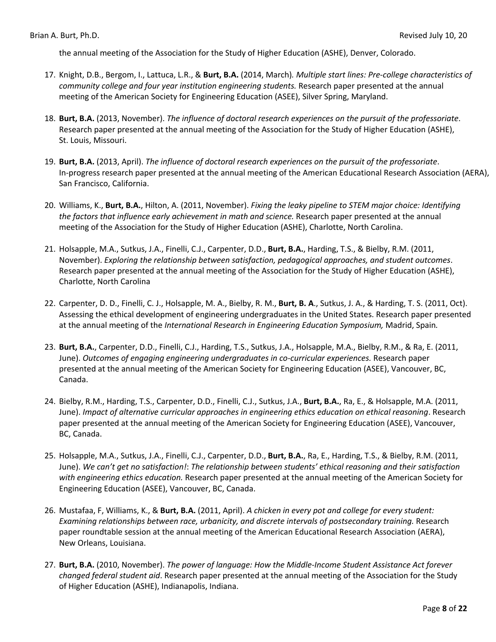the annual meeting of the Association for the Study of Higher Education (ASHE), Denver, Colorado.

- 17. Knight, D.B., Bergom, I., Lattuca, L.R., & **Burt, B.A.** (2014, March)*. Multiple start lines: Pre-college characteristics of community college and four year institution engineering students.* Research paper presented at the annual meeting of the American Society for Engineering Education (ASEE), Silver Spring, Maryland.
- 18. **Burt, B.A.** (2013, November). *The influence of doctoral research experiences on the pursuit of the professoriate*. Research paper presented at the annual meeting of the Association for the Study of Higher Education (ASHE), St. Louis, Missouri.
- 19. **Burt, B.A.** (2013, April). *The influence of doctoral research experiences on the pursuit of the professoriate*. In-progress research paper presented at the annual meeting of the American Educational Research Association (AERA), San Francisco, California.
- 20. Williams, K., **Burt, B.A.**, Hilton, A. (2011, November). *Fixing the leaky pipeline to STEM major choice: Identifying the factors that influence early achievement in math and science.* Research paper presented at the annual meeting of the Association for the Study of Higher Education (ASHE), Charlotte, North Carolina.
- 21. Holsapple, M.A., Sutkus, J.A., Finelli, C.J., Carpenter, D.D., **Burt, B.A.**, Harding, T.S., & Bielby, R.M. (2011, November). *Exploring the relationship between satisfaction, pedagogical approaches, and student outcomes*. Research paper presented at the annual meeting of the Association for the Study of Higher Education (ASHE), Charlotte, North Carolina
- 22. Carpenter, D. D., Finelli, C. J., Holsapple, M. A., Bielby, R. M., **Burt, B. A**., Sutkus, J. A., & Harding, T. S. (2011, Oct). Assessing the ethical development of engineering undergraduates in the United States. Research paper presented at the annual meeting of the *International Research in Engineering Education Symposium,* Madrid, Spain*.*
- 23. **Burt, B.A.**, Carpenter, D.D., Finelli, C.J., Harding, T.S., Sutkus, J.A., Holsapple, M.A., Bielby, R.M., & Ra, E. (2011, June). *Outcomes of engaging engineering undergraduates in co-curricular experiences.* Research paper presented at the annual meeting of the American Society for Engineering Education (ASEE), Vancouver, BC, Canada.
- 24. Bielby, R.M., Harding, T.S., Carpenter, D.D., Finelli, C.J., Sutkus, J.A., **Burt, B.A.**, Ra, E., & Holsapple, M.A. (2011, June). *Impact of alternative curricular approaches in engineering ethics education on ethical reasoning*. Research paper presented at the annual meeting of the American Society for Engineering Education (ASEE), Vancouver, BC, Canada.
- 25. Holsapple, M.A., Sutkus, J.A., Finelli, C.J., Carpenter, D.D., **Burt, B.A.**, Ra, E., Harding, T.S., & Bielby, R.M. (2011, June). *We can't get no satisfaction!*: *The relationship between students' ethical reasoning and their satisfaction with engineering ethics education.* Research paper presented at the annual meeting of the American Society for Engineering Education (ASEE), Vancouver, BC, Canada.
- 26. Mustafaa, F, Williams, K., & **Burt, B.A.** (2011, April). *A chicken in every pot and college for every student: Examining relationships between race, urbanicity, and discrete intervals of postsecondary training.* Research paper roundtable session at the annual meeting of the American Educational Research Association (AERA), New Orleans, Louisiana.
- 27. **Burt, B.A.** (2010, November). *The power of language: How the Middle-Income Student Assistance Act forever changed federal student aid*. Research paper presented at the annual meeting of the Association for the Study of Higher Education (ASHE), Indianapolis, Indiana.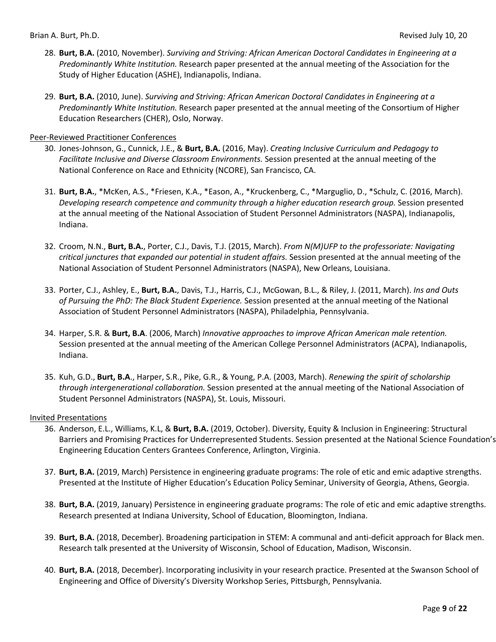- 28. **Burt, B.A.** (2010, November). *Surviving and Striving: African American Doctoral Candidates in Engineering at a Predominantly White Institution.* Research paper presented at the annual meeting of the Association for the Study of Higher Education (ASHE), Indianapolis, Indiana.
- 29. **Burt, B.A.** (2010, June). *Surviving and Striving: African American Doctoral Candidates in Engineering at a Predominantly White Institution.* Research paper presented at the annual meeting of the Consortium of Higher Education Researchers (CHER), Oslo, Norway.

#### Peer-Reviewed Practitioner Conferences

- 30. Jones-Johnson, G., Cunnick, J.E., & **Burt, B.A.** (2016, May). *Creating Inclusive Curriculum and Pedagogy to Facilitate Inclusive and Diverse Classroom Environments.* Session presented at the annual meeting of the National Conference on Race and Ethnicity (NCORE), San Francisco, CA.
- 31. **Burt, B.A.**, \*McKen, A.S., \*Friesen, K.A., \*Eason, A., \*Kruckenberg, C., \*Marguglio, D., \*Schulz, C. (2016, March). *Developing research competence and community through a higher education research group.* Session presented at the annual meeting of the National Association of Student Personnel Administrators (NASPA), Indianapolis, Indiana.
- 32. Croom, N.N., **Burt, B.A.**, Porter, C.J., Davis, T.J. (2015, March). *From N(M)UFP to the professoriate: Navigating critical junctures that expanded our potential in student affairs.* Session presented at the annual meeting of the National Association of Student Personnel Administrators (NASPA), New Orleans, Louisiana.
- 33. Porter, C.J., Ashley, E., **Burt, B.A.**, Davis, T.J., Harris, C.J., McGowan, B.L., & Riley, J. (2011, March). *Ins and Outs of Pursuing the PhD: The Black Student Experience.* Session presented at the annual meeting of the National Association of Student Personnel Administrators (NASPA), Philadelphia, Pennsylvania.
- 34. Harper, S.R. & **Burt, B.A**. (2006, March) *Innovative approaches to improve African American male retention.* Session presented at the annual meeting of the American College Personnel Administrators (ACPA), Indianapolis, Indiana.
- 35. Kuh, G.D., **Burt, B.A**., Harper, S.R., Pike, G.R., & Young, P.A. (2003, March). *Renewing the spirit of scholarship through intergenerational collaboration.* Session presented at the annual meeting of the National Association of Student Personnel Administrators (NASPA), St. Louis, Missouri.

#### Invited Presentations

- 36. Anderson, E.L., Williams, K.L, & **Burt, B.A.** (2019, October). Diversity, Equity & Inclusion in Engineering: Structural Barriers and Promising Practices for Underrepresented Students. Session presented at the National Science Foundation's Engineering Education Centers Grantees Conference, Arlington, Virginia.
- 37. **Burt, B.A.** (2019, March) Persistence in engineering graduate programs: The role of etic and emic adaptive strengths. Presented at the Institute of Higher Education's Education Policy Seminar, University of Georgia, Athens, Georgia.
- 38. **Burt, B.A.** (2019, January) Persistence in engineering graduate programs: The role of etic and emic adaptive strengths. Research presented at Indiana University, School of Education, Bloomington, Indiana.
- 39. **Burt, B.A.** (2018, December). Broadening participation in STEM: A communal and anti-deficit approach for Black men. Research talk presented at the University of Wisconsin, School of Education, Madison, Wisconsin.
- 40. **Burt, B.A.** (2018, December). Incorporating inclusivity in your research practice. Presented at the Swanson School of Engineering and Office of Diversity's Diversity Workshop Series, Pittsburgh, Pennsylvania.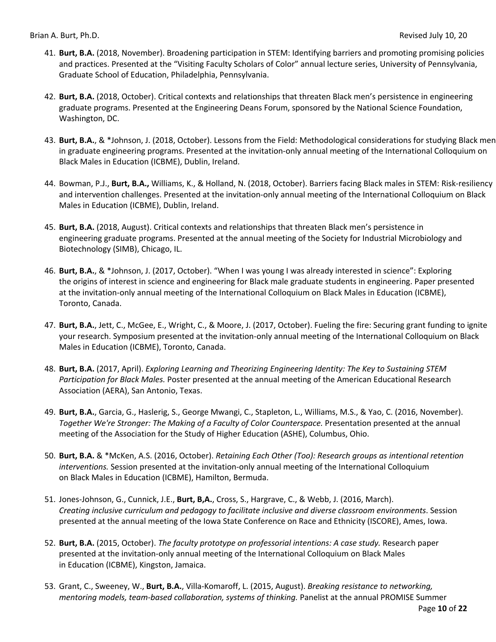- 41. **Burt, B.A.** (2018, November). Broadening participation in STEM: Identifying barriers and promoting promising policies and practices. Presented at the "Visiting Faculty Scholars of Color" annual lecture series, University of Pennsylvania, Graduate School of Education, Philadelphia, Pennsylvania.
- 42. **Burt, B.A.** (2018, October). Critical contexts and relationships that threaten Black men's persistence in engineering graduate programs. Presented at the Engineering Deans Forum, sponsored by the National Science Foundation, Washington, DC.
- 43. **Burt, B.A.**, & \*Johnson, J. (2018, October). Lessons from the Field: Methodological considerations for studying Black men in graduate engineering programs. Presented at the invitation-only annual meeting of the International Colloquium on Black Males in Education (ICBME), Dublin, Ireland.
- 44. Bowman, P.J., **Burt, B.A.,** Williams, K., & Holland, N. (2018, October). Barriers facing Black males in STEM: Risk-resiliency and intervention challenges. Presented at the invitation-only annual meeting of the International Colloquium on Black Males in Education (ICBME), Dublin, Ireland.
- 45. **Burt, B.A.** (2018, August). Critical contexts and relationships that threaten Black men's persistence in engineering graduate programs. Presented at the annual meeting of the Society for Industrial Microbiology and Biotechnology (SIMB), Chicago, IL.
- 46. **Burt, B.A.**, & \*Johnson, J. (2017, October). "When I was young I was already interested in science": Exploring the origins of interest in science and engineering for Black male graduate students in engineering. Paper presented at the invitation-only annual meeting of the International Colloquium on Black Males in Education (ICBME), Toronto, Canada.
- 47. **Burt, B.A.**, Jett, C., McGee, E., Wright, C., & Moore, J. (2017, October). Fueling the fire: Securing grant funding to ignite your research. Symposium presented at the invitation-only annual meeting of the International Colloquium on Black Males in Education (ICBME), Toronto, Canada.
- 48. **Burt, B.A.** (2017, April). *Exploring Learning and Theorizing Engineering Identity: The Key to Sustaining STEM Participation for Black Males.* Poster presented at the annual meeting of the American Educational Research Association (AERA), San Antonio, Texas.
- 49. **Burt, B.A.**, Garcia, G., Haslerig, S., George Mwangi, C., Stapleton, L., Williams, M.S., & Yao, C. (2016, November). *Together We're Stronger: The Making of a Faculty of Color Counterspace.* Presentation presented at the annual meeting of the Association for the Study of Higher Education (ASHE), Columbus, Ohio.
- 50. **Burt, B.A.** & \*McKen, A.S. (2016, October). *Retaining Each Other (Too): Research groups as intentional retention interventions.* Session presented at the invitation-only annual meeting of the International Colloquium on Black Males in Education (ICBME), Hamilton, Bermuda.
- 51. Jones-Johnson, G., Cunnick, J.E., **Burt, B,A.**, Cross, S., Hargrave, C., & Webb, J. (2016, March). *Creating inclusive curriculum and pedagogy to facilitate inclusive and diverse classroom environments*. Session presented at the annual meeting of the Iowa State Conference on Race and Ethnicity (ISCORE), Ames, Iowa.
- 52. **Burt, B.A.** (2015, October). *The faculty prototype on professorial intentions: A case study.* Research paper presented at the invitation-only annual meeting of the International Colloquium on Black Males in Education (ICBME), Kingston, Jamaica.
- 53. Grant, C., Sweeney, W., **Burt, B.A.**, Villa-Komaroff, L. (2015, August). *Breaking resistance to networking, mentoring models, team-based collaboration, systems of thinking.* Panelist at the annual PROMISE Summer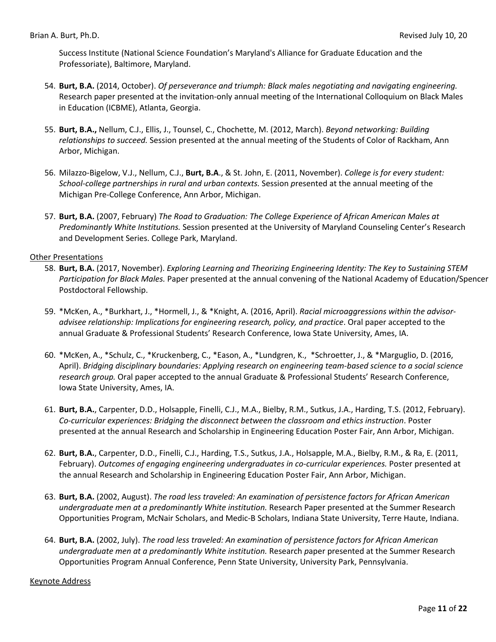Success Institute (National Science Foundation's Maryland's Alliance for Graduate Education and the Professoriate), Baltimore, Maryland.

- 54. **Burt, B.A.** (2014, October). *Of perseverance and triumph: Black males negotiating and navigating engineering.* Research paper presented at the invitation-only annual meeting of the International Colloquium on Black Males in Education (ICBME), Atlanta, Georgia.
- 55. **Burt, B.A.,** Nellum, C.J., Ellis, J., Tounsel, C., Chochette, M. (2012, March). *Beyond networking: Building relationships to succeed.* Session presented at the annual meeting of the Students of Color of Rackham, Ann Arbor, Michigan.
- 56. Milazzo-Bigelow, V.J., Nellum, C.J., **Burt, B.A**., & St. John, E. (2011, November). *College is for every student: School-college partnerships in rural and urban contexts.* Session *p*resented at the annual meeting of the Michigan Pre-College Conference, Ann Arbor, Michigan.
- 57. **Burt, B.A.** (2007, February) *The Road to Graduation: The College Experience of African American Males at Predominantly White Institutions.* Session presented at the University of Maryland Counseling Center's Research and Development Series. College Park, Maryland.

#### Other Presentations

- 58. **Burt, B.A.** (2017, November). *Exploring Learning and Theorizing Engineering Identity: The Key to Sustaining STEM Participation for Black Males.* Paper presented at the annual convening of the National Academy of Education/Spencer Postdoctoral Fellowship.
- 59. \*McKen, A., \*Burkhart, J., \*Hormell, J., & \*Knight, A. (2016, April). *Racial microaggressions within the advisoradvisee relationship: Implications for engineering research, policy, and practice*. Oral paper accepted to the annual Graduate & Professional Students' Research Conference, Iowa State University, Ames, IA.
- 60. \*McKen, A., \*Schulz, C., \*Kruckenberg, C., \*Eason, A., \*Lundgren, K., \*Schroetter, J., & \*Marguglio, D. (2016, April). *Bridging disciplinary boundaries: Applying research on engineering team-based science to a social science research group.* Oral paper accepted to the annual Graduate & Professional Students' Research Conference, Iowa State University, Ames, IA.
- 61. **Burt, B.A.**, Carpenter, D.D., Holsapple, Finelli, C.J., M.A., Bielby, R.M., Sutkus, J.A., Harding, T.S. (2012, February). *Co-curricular experiences: Bridging the disconnect between the classroom and ethics instruction*. Poster presented at the annual Research and Scholarship in Engineering Education Poster Fair, Ann Arbor, Michigan.
- 62. **Burt, B.A.**, Carpenter, D.D., Finelli, C.J., Harding, T.S., Sutkus, J.A., Holsapple, M.A., Bielby, R.M., & Ra, E. (2011, February). *Outcomes of engaging engineering undergraduates in co-curricular experiences.* Poster presented at the annual Research and Scholarship in Engineering Education Poster Fair, Ann Arbor, Michigan.
- 63. **Burt, B.A.** (2002, August). *The road less traveled: An examination of persistence factors for African American undergraduate men at a predominantly White institution.* Research Paper presented at the Summer Research Opportunities Program, McNair Scholars, and Medic-B Scholars, Indiana State University, Terre Haute, Indiana.
- 64. **Burt, B.A.** (2002, July). *The road less traveled: An examination of persistence factors for African American undergraduate men at a predominantly White institution.* Research *p*aper presented at the Summer Research Opportunities Program Annual Conference, Penn State University, University Park, Pennsylvania.

#### Keynote Address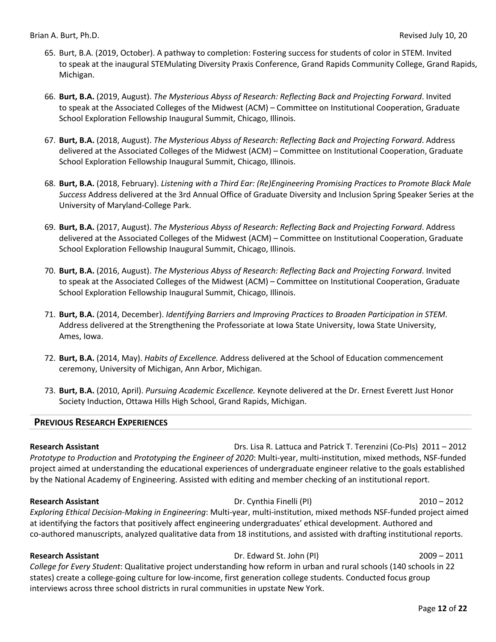- 65. Burt, B.A. (2019, October). A pathway to completion: Fostering success for students of color in STEM. Invited to speak at the inaugural STEMulating Diversity Praxis Conference, Grand Rapids Community College, Grand Rapids, Michigan.
- 66. **Burt, B.A.** (2019, August). *The Mysterious Abyss of Research: Reflecting Back and Projecting Forward*. Invited to speak at the Associated Colleges of the Midwest (ACM) – Committee on Institutional Cooperation, Graduate School Exploration Fellowship Inaugural Summit, Chicago, Illinois.
- 67. **Burt, B.A.** (2018, August). *The Mysterious Abyss of Research: Reflecting Back and Projecting Forward*. Address delivered at the Associated Colleges of the Midwest (ACM) – Committee on Institutional Cooperation, Graduate School Exploration Fellowship Inaugural Summit, Chicago, Illinois.
- 68. **Burt, B.A.** (2018, February). *Listening with a Third Ear: (Re)Engineering Promising Practices to Promote Black Male Success* Address delivered at the 3rd Annual Office of Graduate Diversity and Inclusion Spring Speaker Series at the University of Maryland-College Park.
- 69. **Burt, B.A.** (2017, August). *The Mysterious Abyss of Research: Reflecting Back and Projecting Forward*. Address delivered at the Associated Colleges of the Midwest (ACM) – Committee on Institutional Cooperation, Graduate School Exploration Fellowship Inaugural Summit, Chicago, Illinois.
- 70. **Burt, B.A.** (2016, August). *The Mysterious Abyss of Research: Reflecting Back and Projecting Forward*. Invited to speak at the Associated Colleges of the Midwest (ACM) – Committee on Institutional Cooperation, Graduate School Exploration Fellowship Inaugural Summit, Chicago, Illinois.
- 71. **Burt, B.A.** (2014, December). *Identifying Barriers and Improving Practices to Broaden Participation in STEM*. Address delivered at the Strengthening the Professoriate at Iowa State University, Iowa State University, Ames, Iowa.
- 72. **Burt, B.A.** (2014, May). *Habits of Excellence.* Address delivered at the School of Education commencement ceremony, University of Michigan, Ann Arbor, Michigan.
- 73. **Burt, B.A.** (2010, April). *Pursuing Academic Excellence.* Keynote delivered at the Dr. Ernest Everett Just Honor Society Induction, Ottawa Hills High School, Grand Rapids, Michigan.

#### **PREVIOUS RESEARCH EXPERIENCES**

**Research Assistant** Drs. Lisa R. Lattuca and Patrick T. Terenzini (Co-PIs) 2011 – 2012 *Prototype to Production* and *Prototyping the Engineer of 2020*: Multi-year, multi-institution, mixed methods, NSF-funded project aimed at understanding the educational experiences of undergraduate engineer relative to the goals established by the National Academy of Engineering. Assisted with editing and member checking of an institutional report.

#### **Research Assistant** Dr. Cynthia Finelli (PI) 2010 – 2012

*Exploring Ethical Decision-Making in Engineering*: Multi-year, multi-institution, mixed methods NSF-funded project aimed at identifying the factors that positively affect engineering undergraduates' ethical development. Authored and co-authored manuscripts, analyzed qualitative data from 18 institutions, and assisted with drafting institutional reports.

**Research Assistant** Dr. Edward St. John (PI) 2009 – 2011

*College for Every Student*: Qualitative project understanding how reform in urban and rural schools (140 schools in 22 states) create a college-going culture for low-income, first generation college students. Conducted focus group interviews across three school districts in rural communities in upstate New York.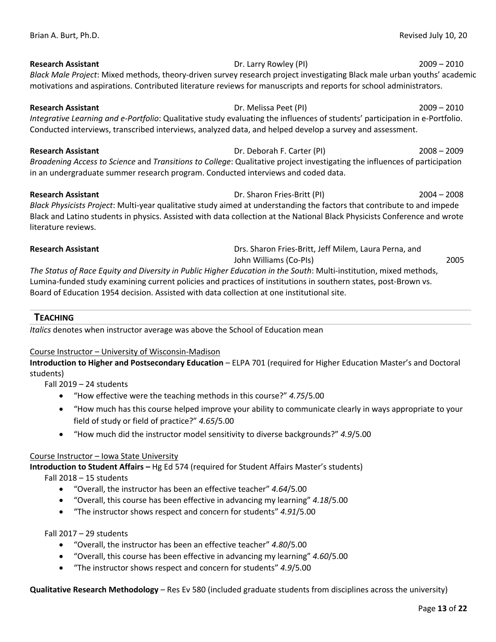**Research Assistant** Dr. Larry Rowley (PI) 2009 – 2010 *Black Male Project*: Mixed methods, theory-driven survey research project investigating Black male urban youths' academic motivations and aspirations. Contributed literature reviews for manuscripts and reports for school administrators.

**Research Assistant** Dr. Melissa Peet (PI) 2009 – 2010 *Integrative Learning and e-Portfolio*: Qualitative study evaluating the influences of students' participation in e-Portfolio. Conducted interviews, transcribed interviews, analyzed data, and helped develop a survey and assessment.

**Research Assistant** Dr. Deborah F. Carter (PI) 2008 – 2009 *Broadening Access to Science* and *Transitions to College*: Qualitative project investigating the influences of participation in an undergraduate summer research program. Conducted interviews and coded data.

#### **Research Assistant** Dr. Sharon Fries-Britt (PI) 2004 – 2008

*Black Physicists Project*: Multi-year qualitative study aimed at understanding the factors that contribute to and impede Black and Latino students in physics. Assisted with data collection at the National Black Physicists Conference and wrote literature reviews.

**Research Assistant** Drs. Sharon Fries-Britt, Jeff Milem, Laura Perna, and John Williams (Co-PIs) 2005

*The Status of Race Equity and Diversity in Public Higher Education in the South*: Multi-institution, mixed methods, Lumina-funded study examining current policies and practices of institutions in southern states, post-Brown vs. Board of Education 1954 decision. Assisted with data collection at one institutional site.

### **TEACHING**

*Italics* denotes when instructor average was above the School of Education mean

#### Course Instructor – University of Wisconsin-Madison

**Introduction to Higher and Postsecondary Education** – ELPA 701 (required for Higher Education Master's and Doctoral students)

Fall 2019 – 24 students

- "How effective were the teaching methods in this course?" *4.75*/5.00
- "How much has this course helped improve your ability to communicate clearly in ways appropriate to your field of study or field of practice?" *4.65*/5.00
- "How much did the instructor model sensitivity to diverse backgrounds?" *4.9*/5.00

#### Course Instructor – Iowa State University

**Introduction to Student Affairs –** Hg Ed 574 (required for Student Affairs Master's students)

Fall 2018 – 15 students

- "Overall, the instructor has been an effective teacher" *4.64*/5.00
- "Overall, this course has been effective in advancing my learning" *4.18*/5.00
- "The instructor shows respect and concern for students" *4.91*/5.00

Fall 2017 – 29 students

- "Overall, the instructor has been an effective teacher" *4.80*/5.00
- "Overall, this course has been effective in advancing my learning" *4.60*/5.00
- "The instructor shows respect and concern for students" *4.9*/5.00

**Qualitative Research Methodology** – Res Ev 580 (included graduate students from disciplines across the university)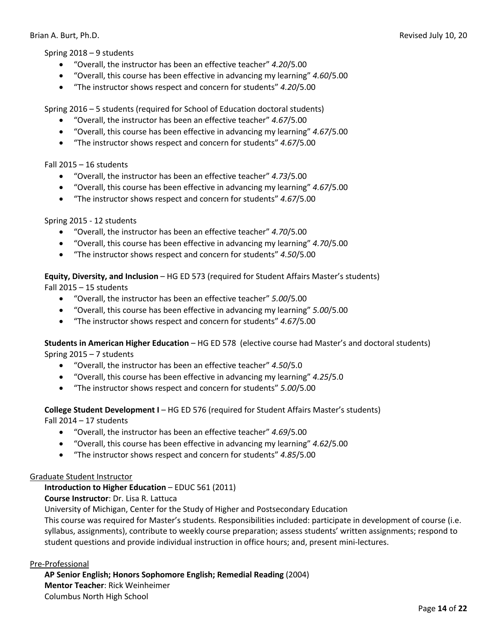Spring 2018 – 9 students

- "Overall, the instructor has been an effective teacher" *4.20*/5.00
- "Overall, this course has been effective in advancing my learning" *4.60*/5.00
- "The instructor shows respect and concern for students" *4.20*/5.00

Spring 2016 – 5 students (required for School of Education doctoral students)

- "Overall, the instructor has been an effective teacher" *4.67*/5.00
- "Overall, this course has been effective in advancing my learning" *4.67*/5.00
- "The instructor shows respect and concern for students" *4.67*/5.00

Fall 2015 – 16 students

- "Overall, the instructor has been an effective teacher" *4.73*/5.00
- "Overall, this course has been effective in advancing my learning" *4.67*/5.00
- "The instructor shows respect and concern for students" *4.67*/5.00

Spring 2015 - 12 students

- "Overall, the instructor has been an effective teacher" *4.70*/5.00
- "Overall, this course has been effective in advancing my learning" *4.70*/5.00
- "The instructor shows respect and concern for students" *4.50*/5.00

**Equity, Diversity, and Inclusion** – HG ED 573 (required for Student Affairs Master's students) Fall 2015 – 15 students

- "Overall, the instructor has been an effective teacher" *5.00*/5.00
- "Overall, this course has been effective in advancing my learning" *5.00*/5.00
- "The instructor shows respect and concern for students" *4.67*/5.00

**Students in American Higher Education** – HG ED 578 (elective course had Master's and doctoral students) Spring 2015 – 7 students

- "Overall, the instructor has been an effective teacher" *4.50*/5.0
- "Overall, this course has been effective in advancing my learning" *4.25*/5.0
- "The instructor shows respect and concern for students" *5.00*/5.00

**College Student Development I** – HG ED 576 (required for Student Affairs Master's students)

Fall 2014 – 17 students

- "Overall, the instructor has been an effective teacher" *4.69*/5.00
- "Overall, this course has been effective in advancing my learning" *4.62*/5.00
- "The instructor shows respect and concern for students" *4.85*/5.00

#### Graduate Student Instructor

**Introduction to Higher Education** – EDUC 561 (2011)

**Course Instructor**: Dr. Lisa R. Lattuca

University of Michigan, Center for the Study of Higher and Postsecondary Education

This course was required for Master's students. Responsibilities included: participate in development of course (i.e. syllabus, assignments), contribute to weekly course preparation; assess students' written assignments; respond to student questions and provide individual instruction in office hours; and, present mini-lectures.

#### Pre-Professional

**AP Senior English; Honors Sophomore English; Remedial Reading** (2004) **Mentor Teacher**: Rick Weinheimer Columbus North High School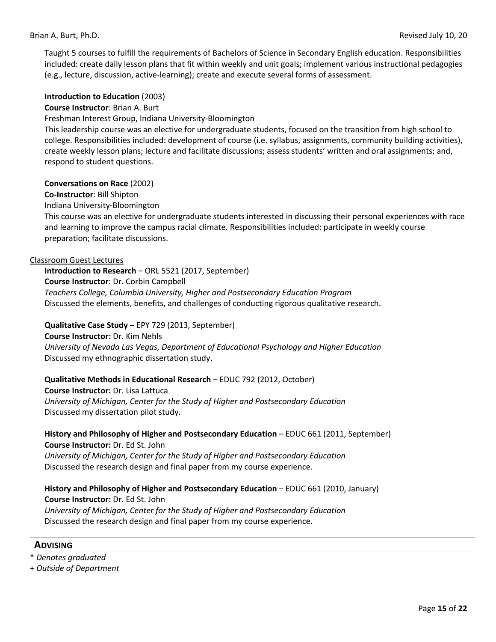Taught 5 courses to fulfill the requirements of Bachelors of Science in Secondary English education. Responsibilities included: create daily lesson plans that fit within weekly and unit goals; implement various instructional pedagogies (e.g., lecture, discussion, active-learning); create and execute several forms of assessment.

#### **Introduction to Education** (2003)

#### **Course Instructor**: Brian A. Burt

Freshman Interest Group, Indiana University-Bloomington

This leadership course was an elective for undergraduate students, focused on the transition from high school to college. Responsibilities included: development of course (i.e. syllabus, assignments, community building activities), create weekly lesson plans; lecture and facilitate discussions; assess students' written and oral assignments; and, respond to student questions.

**Conversations on Race** (2002)

**Co-Instructor**: Bill Shipton

Indiana University-Bloomington

This course was an elective for undergraduate students interested in discussing their personal experiences with race and learning to improve the campus racial climate. Responsibilities included: participate in weekly course preparation; facilitate discussions.

#### Classroom Guest Lectures

**Introduction to Research** – ORL 5521 (2017, September) **Course Instructor**: Dr. Corbin Campbell *Teachers College, Columbia University, Higher and Postsecondary Education Program* Discussed the elements, benefits, and challenges of conducting rigorous qualitative research.

#### **Qualitative Case Study** – EPY 729 (2013, September)

**Course Instructor:** Dr. Kim Nehls *University of Nevada Las Vegas, Department of Educational Psychology and Higher Education* Discussed my ethnographic dissertation study.

#### **Qualitative Methods in Educational Research** – EDUC 792 (2012, October)

**Course Instructor:** Dr. Lisa Lattuca *University of Michigan, Center for the Study of Higher and Postsecondary Education* Discussed my dissertation pilot study.

**History and Philosophy of Higher and Postsecondary Education** – EDUC 661 (2011, September) **Course Instructor:** Dr. Ed St. John *University of Michigan, Center for the Study of Higher and Postsecondary Education*

Discussed the research design and final paper from my course experience.

#### **History and Philosophy of Higher and Postsecondary Education** – EDUC 661 (2010, January) **Course Instructor:** Dr. Ed St. John *University of Michigan, Center for the Study of Higher and Postsecondary Education*

Discussed the research design and final paper from my course experience.

#### **ADVISING**

\* *Denotes graduated*

+ *Outside of Department*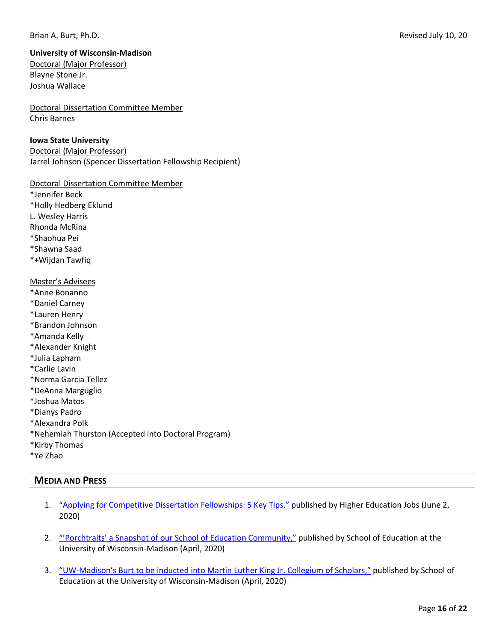#### Brian A. Burt, Ph.D. **Brian A. Burt, Ph.D.** Revised July 10, 20

## **University of Wisconsin-Madison**

Doctoral (Major Professor) Blayne Stone Jr. Joshua Wallace

Doctoral Dissertation Committee Member Chris Barnes

#### **Iowa State University**

Doctoral (Major Professor) Jarrel Johnson (Spencer Dissertation Fellowship Recipient)

Doctoral Dissertation Committee Member

\*Jennifer Beck \*Holly Hedberg Eklund L. Wesley Harris Rhonda McRina \*Shaohua Pei \*Shawna Saad \*+Wijdan Tawfiq Master's Advisees \*Anne Bonanno \*Daniel Carney \*Lauren Henry \*Brandon Johnson \*Amanda Kelly \*Alexander Knight \*Julia Lapham \*Carlie Lavin \*Norma Garcia Tellez \*DeAnna Marguglio \*Joshua Matos \*Dianys Padro \*Alexandra Polk

- \*Nehemiah Thurston (Accepted into Doctoral Program)
- \*Kirby Thomas
- \*Ye Zhao

## **MEDIA AND PRESS**

- 1. "Applying for Competitive Dissertation Fellowships: 5 Key Tips," published by Higher Education Jobs (June 2, 2020)
- 2. "Porchtraits' a Snapshot of our School of Education Community," published by School of Education at the University of Wisconsin-Madison (April, 2020)
- 3. "UW-Madison's Burt to be inducted into Martin Luther King Jr. Collegium of Scholars," published by School of Education at the University of Wisconsin-Madison (April, 2020)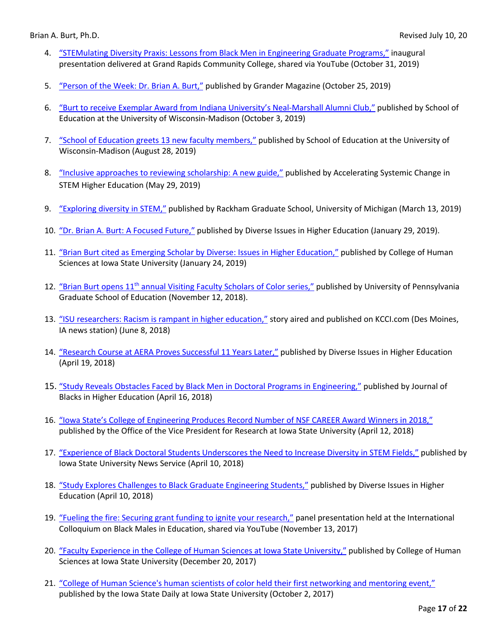- 4. "STEMulating Diversity Praxis: Lessons from Black Men in Engineering Graduate Programs," inaugural presentation delivered at Grand Rapids Community College, shared via YouTube (October 31, 2019)
- 5. "Person of the Week: Dr. Brian A. Burt," published by Grander Magazine (October 25, 2019)
- 6. "Burt to receive Exemplar Award from Indiana University's Neal-Marshall Alumni Club," published by School of Education at the University of Wisconsin-Madison (October 3, 2019)
- 7. "School of Education greets 13 new faculty members," published by School of Education at the University of Wisconsin-Madison (August 28, 2019)
- 8. "Inclusive approaches to reviewing scholarship: A new guide," published by Accelerating Systemic Change in STEM Higher Education (May 29, 2019)
- 9. "Exploring diversity in STEM," published by Rackham Graduate School, University of Michigan (March 13, 2019)
- 10. "Dr. Brian A. Burt: A Focused Future," published by Diverse Issues in Higher Education (January 29, 2019).
- 11. "Brian Burt cited as Emerging Scholar by Diverse: Issues in Higher Education," published by College of Human Sciences at Iowa State University (January 24, 2019)
- 12. "Brian Burt opens 11<sup>th</sup> annual Visiting Faculty Scholars of Color series," published by University of Pennsylvania Graduate School of Education (November 12, 2018).
- 13. "ISU researchers: Racism is rampant in higher education," story aired and published on KCCI.com (Des Moines, IA news station) (June 8, 2018)
- 14. "Research Course at AERA Proves Successful 11 Years Later," published by Diverse Issues in Higher Education (April 19, 2018)
- 15. "Study Reveals Obstacles Faced by Black Men in Doctoral Programs in Engineering," published by Journal of Blacks in Higher Education (April 16, 2018)
- 16. "Iowa State's College of Engineering Produces Record Number of NSF CAREER Award Winners in 2018," published by the Office of the Vice President for Research at Iowa State University (April 12, 2018)
- 17. "Experience of Black Doctoral Students Underscores the Need to Increase Diversity in STEM Fields," published by Iowa State University News Service (April 10, 2018)
- 18. "Study Explores Challenges to Black Graduate Engineering Students," published by Diverse Issues in Higher Education (April 10, 2018)
- 19. "Fueling the fire: Securing grant funding to ignite your research," panel presentation held at the International Colloquium on Black Males in Education, shared via YouTube (November 13, 2017)
- 20. "Faculty Experience in the College of Human Sciences at Iowa State University," published by College of Human Sciences at Iowa State University (December 20, 2017)
- 21. "College of Human Science's human scientists of color held their first networking and mentoring event," published by the Iowa State Daily at Iowa State University (October 2, 2017)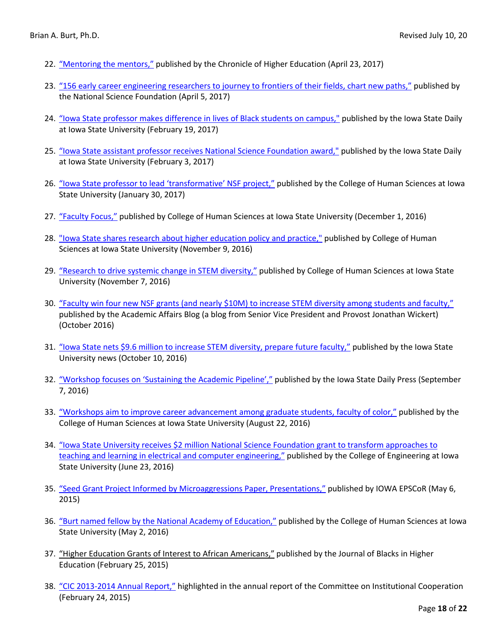- 22. "Mentoring the mentors," published by the Chronicle of Higher Education (April 23, 2017)
- 23. "156 early career engineering researchers to journey to frontiers of their fields, chart new paths," published by the National Science Foundation (April 5, 2017)
- 24. "Iowa State professor makes difference in lives of Black students on campus," published by the Iowa State Daily at Iowa State University (February 19, 2017)
- 25. "Iowa State assistant professor receives National Science Foundation award," published by the Iowa State Daily at Iowa State University (February 3, 2017)
- 26. "Iowa State professor to lead 'transformative' NSF project," published by the College of Human Sciences at Iowa State University (January 30, 2017)
- 27. "Faculty Focus," published by College of Human Sciences at Iowa State University (December 1, 2016)
- 28. "Iowa State shares research about higher education policy and practice," published by College of Human Sciences at Iowa State University (November 9, 2016)
- 29. "Research to drive systemic change in STEM diversity," published by College of Human Sciences at Iowa State University (November 7, 2016)
- 30. "Faculty win four new NSF grants (and nearly \$10M) to increase STEM diversity among students and faculty," published by the Academic Affairs Blog (a blog from Senior Vice President and Provost Jonathan Wickert) (October 2016)
- 31. "Iowa State nets \$9.6 million to increase STEM diversity, prepare future faculty," published by the Iowa State University news (October 10, 2016)
- 32. "Workshop focuses on 'Sustaining the Academic Pipeline'," published by the Iowa State Daily Press (September 7, 2016)
- 33. "Workshops aim to improve career advancement among graduate students, faculty of color," published by the College of Human Sciences at Iowa State University (August 22, 2016)
- 34. "Iowa State University receives \$2 million National Science Foundation grant to transform approaches to teaching and learning in electrical and computer engineering," published by the College of Engineering at Iowa State University (June 23, 2016)
- 35. "Seed Grant Project Informed by Microaggressions Paper, Presentations," published by IOWA EPSCoR (May 6, 2015)
- 36. "Burt named fellow by the National Academy of Education," published by the College of Human Sciences at Iowa State University (May 2, 2016)
- 37. "Higher Education Grants of Interest to African Americans," published by the Journal of Blacks in Higher Education (February 25, 2015)
- 38. "CIC 2013-2014 Annual Report," highlighted in the annual report of the Committee on Institutional Cooperation (February 24, 2015)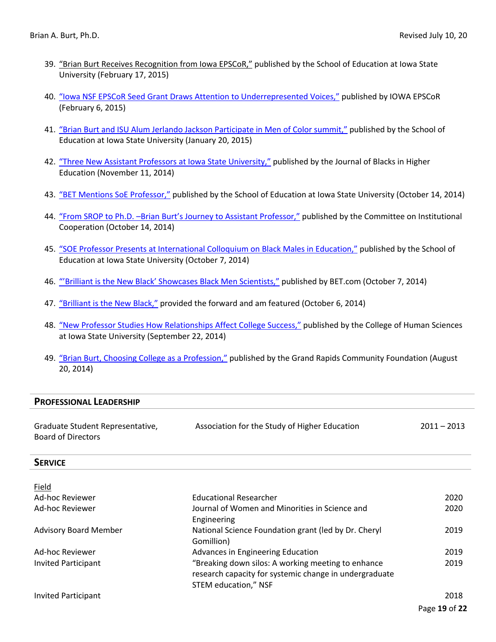- 39. "Brian Burt Receives Recognition from Iowa EPSCoR," published by the School of Education at Iowa State University (February 17, 2015)
- 40. "Iowa NSF EPSCoR Seed Grant Draws Attention to Underrepresented Voices," published by IOWA EPSCoR (February 6, 2015)
- 41. "Brian Burt and ISU Alum Jerlando Jackson Participate in Men of Color summit," published by the School of Education at Iowa State University (January 20, 2015)
- 42. "Three New Assistant Professors at Iowa State University," published by the Journal of Blacks in Higher Education (November 11, 2014)
- 43. "BET Mentions SoE Professor," published by the School of Education at Iowa State University (October 14, 2014)
- 44. "From SROP to Ph.D. -Brian Burt's Journey to Assistant Professor," published by the Committee on Institutional Cooperation (October 14, 2014)
- 45. "SOE Professor Presents at International Colloquium on Black Males in Education," published by the School of Education at Iowa State University (October 7, 2014)
- 46. "'Brilliant is the New Black' Showcases Black Men Scientists," published by BET.com (October 7, 2014)
- 47. "Brilliant is the New Black," provided the forward and am featured (October 6, 2014)
- 48. "New Professor Studies How Relationships Affect College Success," published by the College of Human Sciences at Iowa State University (September 22, 2014)
- 49. "Brian Burt, Choosing College as a Profession," published by the Grand Rapids Community Foundation (August 20, 2014)

#### **PROFESSIONAL LEADERSHIP**

| Graduate Student Representative, | Association for the Study of Higher Education | $2011 - 2013$ |
|----------------------------------|-----------------------------------------------|---------------|
| Board of Directors               |                                               |               |

#### **SERVICE**

| Field                        |                                                        |      |
|------------------------------|--------------------------------------------------------|------|
| Ad-hoc Reviewer              | <b>Educational Researcher</b>                          | 2020 |
| Ad-hoc Reviewer              | Journal of Women and Minorities in Science and         | 2020 |
|                              | Engineering                                            |      |
| <b>Advisory Board Member</b> | National Science Foundation grant (led by Dr. Cheryl   | 2019 |
|                              | Gomillion)                                             |      |
| Ad-hoc Reviewer              | Advances in Engineering Education                      | 2019 |
| <b>Invited Participant</b>   | "Breaking down silos: A working meeting to enhance     | 2019 |
|                              | research capacity for systemic change in undergraduate |      |
|                              | STEM education," NSF                                   |      |
| <b>Invited Participant</b>   |                                                        | 2018 |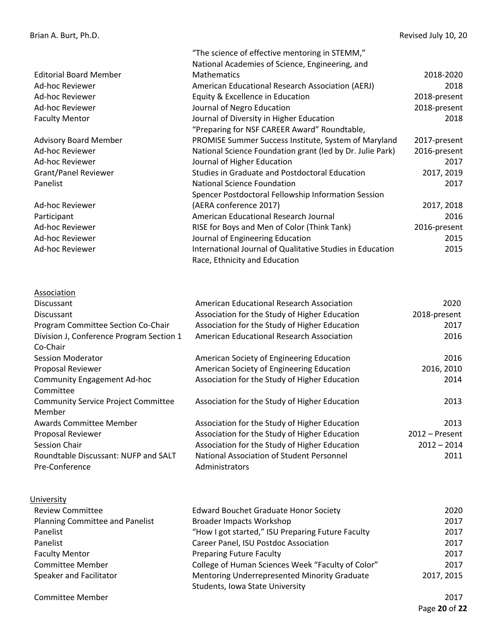Editorial Board Member Ad-hoc Reviewer Ad-hoc Reviewer Ad-hoc Reviewer Faculty Mentor

Advisory Board Member Ad-hoc Reviewer Ad-hoc Reviewer Grant/Panel Reviewer Panelist

Ad-hoc Reviewer Participant Ad-hoc Reviewer Ad-hoc Reviewer Ad-hoc Reviewer

# **Association**

| Discussant                                 | American Educational Research Association     | 2020           |
|--------------------------------------------|-----------------------------------------------|----------------|
| <b>Discussant</b>                          | Association for the Study of Higher Education | 2018-present   |
| Program Committee Section Co-Chair         | Association for the Study of Higher Education | 2017           |
| Division J, Conference Program Section 1   | American Educational Research Association     | 2016           |
| Co-Chair                                   |                                               |                |
| Session Moderator                          | American Society of Engineering Education     | 2016           |
| <b>Proposal Reviewer</b>                   | American Society of Engineering Education     | 2016, 2010     |
| <b>Community Engagement Ad-hoc</b>         | Association for the Study of Higher Education | 2014           |
| Committee                                  |                                               |                |
| <b>Community Service Project Committee</b> | Association for the Study of Higher Education | 2013           |
| Member                                     |                                               |                |
| <b>Awards Committee Member</b>             | Association for the Study of Higher Education | 2013           |
| <b>Proposal Reviewer</b>                   | Association for the Study of Higher Education | 2012 – Present |
| Session Chair                              | Association for the Study of Higher Education | 2012 - 2014    |
| Roundtable Discussant: NUFP and SALT       | National Association of Student Personnel     | 2011           |
| Pre-Conference                             | Administrators                                |                |

"The science of effective mentoring in STEMM," National Academies of Science, Engineering, and

American Educational Research Association (AERJ)

"Preparing for NSF CAREER Award" Roundtable,

Studies in Graduate and Postdoctoral Education

Spencer Postdoctoral Fellowship Information Session

International Journal of Qualitative Studies in Education

PROMISE Summer Success Institute, System of Maryland National Science Foundation grant (led by Dr. Julie Park)

Equity & Excellence in Education Journal of Negro Education

Journal of Higher Education

National Science Foundation

(AERA conference 2017)

Journal of Diversity in Higher Education

American Educational Research Journal RISE for Boys and Men of Color (Think Tank)

Journal of Engineering Education

Race, Ethnicity and Education

Mathematics

#### University Review Committee Planning Committee and Panelist Panelist Panelist Faculty Mentor Committee Member Speaker and Facilitator Committee Member Edward Bouchet Graduate Honor Society Broader Impacts Workshop "How I got started," ISU Preparing Future Faculty Career Panel, ISU Postdoc Association Preparing Future Faculty College of Human Sciences Week "Faculty of Color" Mentoring Underrepresented Minority Graduate Students, Iowa State University 2020 2017 2017 2017 2017 2017 2017, 2015

2018-2020 2018

2018

2017 2017, 2019 2017

> 2015 2015

2018-present 2018-present

2017-present 2016-present

> 2017, 2018 2016

2016-present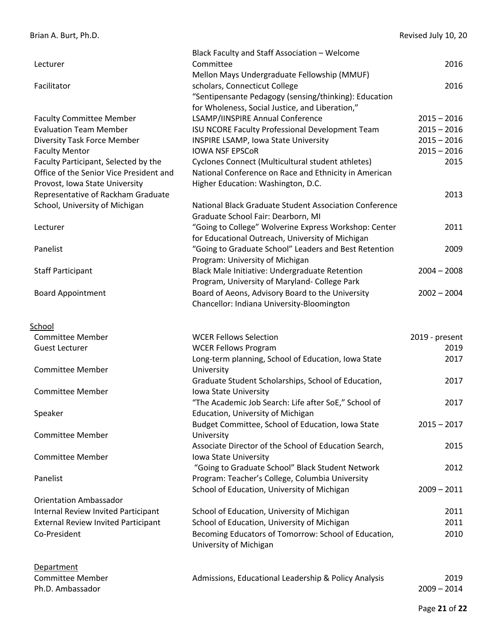|                                                            | Black Faculty and Staff Association - Welcome          |                       |
|------------------------------------------------------------|--------------------------------------------------------|-----------------------|
| Lecturer                                                   | Committee                                              | 2016                  |
|                                                            | Mellon Mays Undergraduate Fellowship (MMUF)            |                       |
| Facilitator                                                | scholars, Connecticut College                          | 2016                  |
|                                                            | "Sentipensante Pedagogy (sensing/thinking): Education  |                       |
|                                                            | for Wholeness, Social Justice, and Liberation,"        |                       |
| <b>Faculty Committee Member</b>                            | LSAMP/IINSPIRE Annual Conference                       | $2015 - 2016$         |
| <b>Evaluation Team Member</b>                              | ISU NCORE Faculty Professional Development Team        | $2015 - 2016$         |
| <b>Diversity Task Force Member</b>                         | INSPIRE LSAMP, Iowa State University                   | $2015 - 2016$         |
| <b>Faculty Mentor</b>                                      | <b>IOWA NSF EPSCOR</b>                                 | $2015 - 2016$         |
| Faculty Participant, Selected by the                       | Cyclones Connect (Multicultural student athletes)      | 2015                  |
| Office of the Senior Vice President and                    | National Conference on Race and Ethnicity in American  |                       |
| Provost, Iowa State University                             | Higher Education: Washington, D.C.                     |                       |
| Representative of Rackham Graduate                         |                                                        | 2013                  |
| School, University of Michigan                             | National Black Graduate Student Association Conference |                       |
|                                                            | Graduate School Fair: Dearborn, MI                     |                       |
| Lecturer                                                   | "Going to College" Wolverine Express Workshop: Center  | 2011                  |
|                                                            | for Educational Outreach, University of Michigan       |                       |
| Panelist                                                   | "Going to Graduate School" Leaders and Best Retention  | 2009                  |
|                                                            | Program: University of Michigan                        |                       |
| <b>Staff Participant</b>                                   | Black Male Initiative: Undergraduate Retention         | $2004 - 2008$         |
|                                                            | Program, University of Maryland- College Park          |                       |
| <b>Board Appointment</b>                                   | Board of Aeons, Advisory Board to the University       | $2002 - 2004$         |
|                                                            | Chancellor: Indiana University-Bloomington             |                       |
|                                                            |                                                        |                       |
|                                                            |                                                        |                       |
| School                                                     |                                                        |                       |
| <b>Committee Member</b>                                    | <b>WCER Fellows Selection</b>                          | 2019 - present        |
| <b>Guest Lecturer</b>                                      | <b>WCER Fellows Program</b>                            | 2019                  |
|                                                            | Long-term planning, School of Education, Iowa State    | 2017                  |
| <b>Committee Member</b>                                    | University                                             |                       |
|                                                            | Graduate Student Scholarships, School of Education,    | 2017                  |
| <b>Committee Member</b>                                    | Iowa State University                                  |                       |
|                                                            | "The Academic Job Search: Life after SoE," School of   | 2017                  |
| Speaker                                                    | <b>Education, University of Michigan</b>               |                       |
|                                                            | Budget Committee, School of Education, Iowa State      | $2015 - 2017$         |
| <b>Committee Member</b>                                    | University                                             |                       |
|                                                            | Associate Director of the School of Education Search,  | 2015                  |
| <b>Committee Member</b>                                    | Iowa State University                                  |                       |
|                                                            | "Going to Graduate School" Black Student Network       | 2012                  |
| Panelist                                                   | Program: Teacher's College, Columbia University        |                       |
|                                                            | School of Education, University of Michigan            | $2009 - 2011$         |
| <b>Orientation Ambassador</b>                              |                                                        |                       |
|                                                            | School of Education, University of Michigan            | 2011                  |
| Internal Review Invited Participant                        |                                                        | 2011                  |
| <b>External Review Invited Participant</b><br>Co-President | School of Education, University of Michigan            | 2010                  |
|                                                            | Becoming Educators of Tomorrow: School of Education,   |                       |
|                                                            | University of Michigan                                 |                       |
|                                                            |                                                        |                       |
| <b>Department</b>                                          |                                                        |                       |
| <b>Committee Member</b><br>Ph.D. Ambassador                | Admissions, Educational Leadership & Policy Analysis   | 2019<br>$2009 - 2014$ |